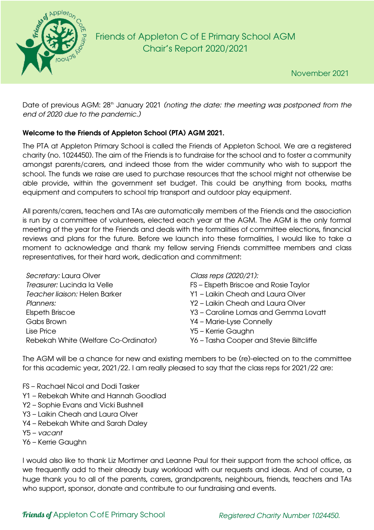

# Friends of Appleton C of E Primary School AGM Chair's Report 2020/2021

Date of previous AGM: 28<sup>th</sup> January 2021 (noting the date: the meeting was postponed from the *end of 2020 due to the pandemic.)*

# Welcome to the Friends of Appleton School (PTA) AGM 2021.

The PTA at Appleton Primary School is called the Friends of Appleton School. We are a registered charity (no. 1024450). The aim of the Friends is to fundraise for the school and to foster a community amongst parents/carers, and indeed those from the wider community who wish to support the school. The funds we raise are used to purchase resources that the school might not otherwise be able provide, within the government set budget. This could be anything from books, maths equipment and computers to school trip transport and outdoor play equipment.

All parents/carers, teachers and TAs are automatically members of the Friends and the association is run by a committee of volunteers, elected each year at the AGM. The AGM is the only formal meeting of the year for the Friends and deals with the formalities of committee elections, financial reviews and plans for the future. Before we launch into these formalities, I would like to take a moment to acknowledge and thank my fellow serving Friends committee members and class representatives, for their hard work, dedication and commitment:

| Secretary: Laura Olver               | Class reps (2020/21):                   |
|--------------------------------------|-----------------------------------------|
| Treasurer: Lucinda la Velle          | FS - Elspeth Briscoe and Rosie Taylor   |
| Teacher liaison: Helen Barker        | Y1 - Laikin Cheah and Laura Olver       |
| Planners:                            | Y2 - Laikin Cheah and Laura Olver       |
| <b>Elspeth Briscoe</b>               | Y3 - Caroline Lomas and Gemma Lovatt    |
| Gabs Brown                           | Y4 - Marie-Lyse Connelly                |
| Lise Price                           | Y5 - Kerrie Gaughn                      |
| Rebekah White (Welfare Co-Ordinator) | Y6 - Tasha Cooper and Stevie Biltcliffe |

The AGM will be a chance for new and existing members to be (re)-elected on to the committee for this academic year, 2021/22. I am really pleased to say that the class reps for 2021/22 are:

- FS Rachael Nicol and Dodi Tasker
- Y1 Rebekah White and Hannah Goodlad
- Y2 Sophie Evans and Vicki Bushnell
- Y3 Laikin Cheah and Laura Olver
- Y4 Rebekah White and Sarah Daley
- Y5 *vacant*
- Y6 Kerrie Gaughn

I would also like to thank Liz Mortimer and Leanne Paul for their support from the school office, as we frequently add to their already busy workload with our requests and ideas. And of course, a huge thank you to all of the parents, carers, grandparents, neighbours, friends, teachers and TAs who support, sponsor, donate and contribute to our fundraising and events.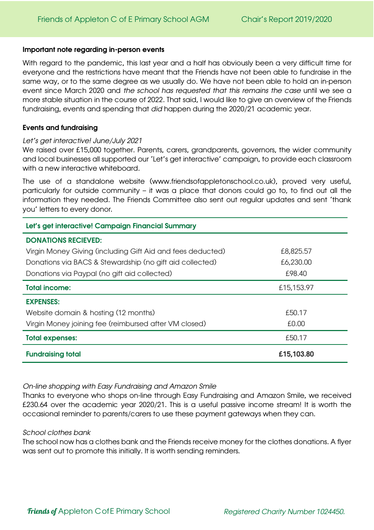## Important note regarding in-person events

With regard to the pandemic, this last year and a half has obviously been a very difficult time for everyone and the restrictions have meant that the Friends have not been able to fundraise in the same way, or to the same degree as we usually do. We have not been able to hold an in-person event since March 2020 and *the school has requested that this remains the case* until we see a more stable situation in the course of 2022. That said, I would like to give an overview of the Friends fundraising, events and spending that *did* happen during the 2020/21 academic year.

## Events and fundraising

## *Let's get interactive! June/July 2021*

We raised over £15,000 together. Parents, carers, grandparents, governors, the wider community and local businesses all supported our 'Let's get interactive' campaign, to provide each classroom with a new interactive whiteboard.

The use of a standalone website (www.friendsofappletonschool.co.uk), proved very useful, particularly for outside community – it was a place that donors could go to, to find out all the information they needed. The Friends Committee also sent out regular updates and sent 'thank you' letters to every donor.

| Let's get interactive! Campaign Financial Summary          |            |  |  |
|------------------------------------------------------------|------------|--|--|
| <b>DONATIONS RECIEVED:</b>                                 |            |  |  |
| Virgin Money Giving (including Gift Aid and fees deducted) | £8,825.57  |  |  |
| Donations via BACS & Stewardship (no gift aid collected)   | £6,230.00  |  |  |
| Donations via Paypal (no gift aid collected)               | £98.40     |  |  |
| <b>Total income:</b>                                       | £15,153.97 |  |  |
| <b>EXPENSES:</b>                                           |            |  |  |
| Website domain & hosting (12 months)                       | £50.17     |  |  |
| Virgin Money joining fee (reimbursed after VM closed)      | £0.00      |  |  |
| <b>Total expenses:</b>                                     | £50.17     |  |  |
| <b>Fundraising total</b>                                   | £15,103.80 |  |  |

*On-line shopping with Easy Fundraising and Amazon Smile*

Thanks to everyone who shops on-line through Easy Fundraising and Amazon Smile, we received £230.64 over the academic year 2020/21. This is a useful passive income stream! It is worth the occasional reminder to parents/carers to use these payment gateways when they can.

## *School clothes bank*

The school now has a clothes bank and the Friends receive money for the clothes donations. A flyer was sent out to promote this initially. It is worth sending reminders.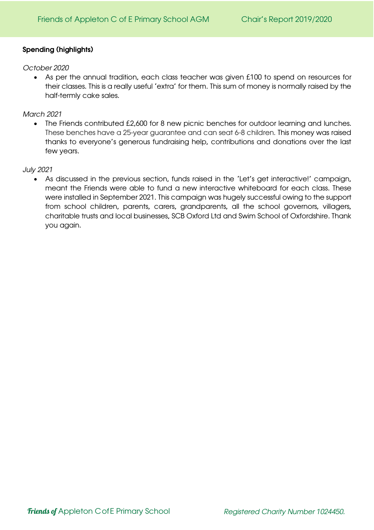## Spending (highlights)

## *October 2020*

• As per the annual tradition, each class teacher was given £100 to spend on resources for their classes. This is a really useful 'extra' for them. This sum of money is normally raised by the half-termly cake sales.

## *March 2021*

• The Friends contributed £2,600 for 8 new picnic benches for outdoor learning and lunches. These benches have a 25-year guarantee and can seat 6-8 children. This money was raised thanks to everyone's generous fundraising help, contributions and donations over the last few years.

## *July 2021*

• As discussed in the previous section, funds raised in the 'Let's get interactive!' campaign, meant the Friends were able to fund a new interactive whiteboard for each class. These were installed in September 2021. This campaign was hugely successful owing to the support from school children, parents, carers, grandparents, all the school governors, villagers, charitable trusts and local businesses, SCB Oxford Ltd and Swim School of Oxfordshire. Thank you again.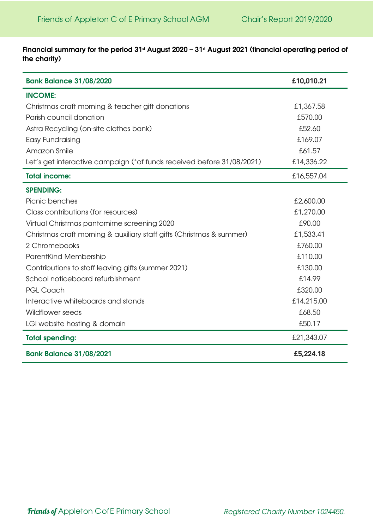Financial summary for the period 31<sup>st</sup> August 2020 - 31<sup>st</sup> August 2021 (financial operating period of the charity)

| <b>Bank Balance 31/08/2020</b>                                        | £10,010.21 |
|-----------------------------------------------------------------------|------------|
| <b>INCOME:</b>                                                        |            |
| Christmas craft morning & teacher gift donations                      | £1,367.58  |
| Parish council donation                                               | £570.00    |
| Astra Recycling (on-site clothes bank)                                | £52.60     |
| Easy Fundraising                                                      | £169.07    |
| Amazon Smile                                                          | £61.57     |
| Let's get interactive campaign (*of funds received before 31/08/2021) | £14,336.22 |
| <b>Total income:</b>                                                  | £16,557.04 |
| <b>SPENDING:</b>                                                      |            |
| Picnic benches                                                        | £2,600.00  |
| Class contributions (for resources)                                   | £1,270.00  |
| Virtual Christmas pantomime screening 2020                            | £90.00     |
| Christmas craft morning & auxiliary staff gifts (Christmas & summer)  | £1,533.41  |
| 2 Chromebooks                                                         | £760.00    |
| ParentKind Membership                                                 | £110.00    |
| Contributions to staff leaving gifts (summer 2021)                    | £130.00    |
| School noticeboard refurbishment                                      | £14.99     |
| <b>PGL Coach</b>                                                      | £320.00    |
| Interactive whiteboards and stands                                    | £14,215.00 |
| <b>Wildflower seeds</b>                                               | £68.50     |
| LGI website hosting & domain                                          | £50.17     |
| <b>Total spending:</b>                                                | £21,343.07 |
| <b>Bank Balance 31/08/2021</b>                                        | £5,224.18  |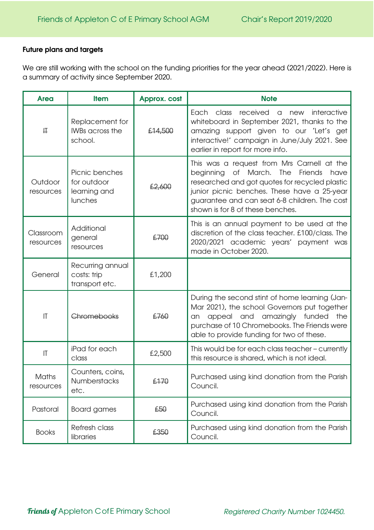## Future plans and targets

We are still working with the school on the funding priorities for the year ahead (2021/2022). Here is a summary of activity since September 2020.

| <b>Area</b>               | <b>Item</b>                                              | <b>Approx. cost</b> | <b>Note</b>                                                                                                                                                                                                                                                                       |
|---------------------------|----------------------------------------------------------|---------------------|-----------------------------------------------------------------------------------------------------------------------------------------------------------------------------------------------------------------------------------------------------------------------------------|
| 开                         | Replacement for<br><b>IWBs across the</b><br>school.     | £14,500             | Each class received a<br>new<br>interactive<br>whiteboard in September 2021, thanks to the<br>amazing support given to our 'Let's get<br>interactive!' campaign in June/July 2021. See<br>earlier in report for more info.                                                        |
| Outdoor<br>resources      | Picnic benches<br>for outdoor<br>learning and<br>lunches | £2,600              | This was a request from Mrs Carnell at the<br>of March. The<br>Friends<br>beginning<br>have<br>researched and got quotes for recycled plastic<br>junior picnic benches. These have a 25-year<br>guarantee and can seat 6-8 children. The cost<br>shown is for 8 of these benches. |
| Classroom<br>resources    | Additional<br>general<br>resources                       | £700                | This is an annual payment to be used at the<br>discretion of the class teacher. £100/class. The<br>2020/2021 academic years' payment was<br>made in October 2020.                                                                                                                 |
| General                   | Recurring annual<br>costs: trip<br>transport etc.        | £1,200              |                                                                                                                                                                                                                                                                                   |
| $\mathsf{I}\mathsf{T}$    | Chromebooks                                              | £760                | During the second stint of home learning (Jan-<br>Mar 2021), the school Governors put together<br>appeal and amazingly funded the<br>an<br>purchase of 10 Chromebooks. The Friends were<br>able to provide funding for two of these.                                              |
| $\mathsf{I}\mathsf{T}$    | iPad for each<br>class                                   | £2,500              | This would be for each class teacher - currently<br>this resource is shared, which is not ideal.                                                                                                                                                                                  |
| <b>Maths</b><br>resources | Counters, coins,<br>Numberstacks<br>etc.                 | £170                | Purchased using kind donation from the Parish<br>Council.                                                                                                                                                                                                                         |
| Pastoral                  | <b>Board games</b>                                       | £50                 | Purchased using kind donation from the Parish<br>Council.                                                                                                                                                                                                                         |
| <b>Books</b>              | Refresh class<br>libraries                               | £350                | Purchased using kind donation from the Parish<br>Council.                                                                                                                                                                                                                         |